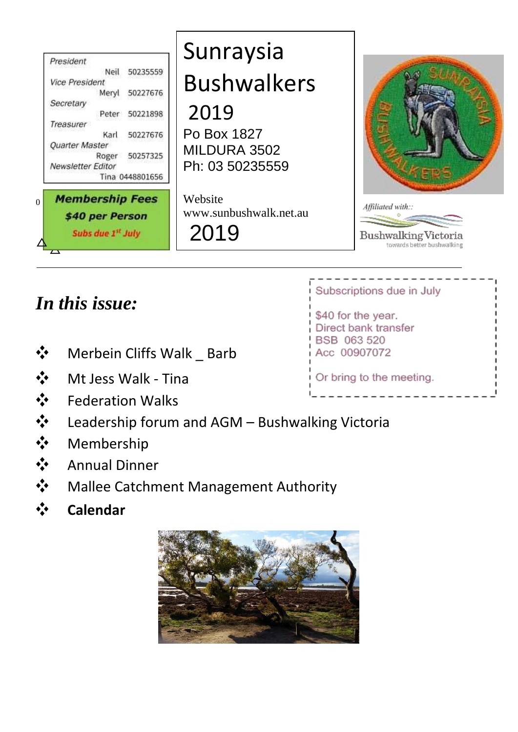| President<br>50235559<br>Neil<br><b>Vice President</b><br>50227676<br>Meryl<br>Secretary<br>50221898<br>Peter<br>Treasurer<br>50227676<br>Karl<br>Quarter Master<br>50257325<br>Roger<br><b>Newsletter Editor</b> | Sunraysia<br><b>Bushwalkers</b><br>2019<br>Po Box 1827<br>MILDURA 3502<br>Ph: 03 50235559 |                                                                                |
|-------------------------------------------------------------------------------------------------------------------------------------------------------------------------------------------------------------------|-------------------------------------------------------------------------------------------|--------------------------------------------------------------------------------|
| Tina 0448801656<br><b>Membership Fees</b><br>\$40 per Person<br>Subs due 1st July                                                                                                                                 | Website<br>www.sunbushwalk.net.au<br>2019                                                 | Affiliated with::<br><b>Bushwalking Victoria</b><br>towards better bushwalking |

# *In this issue:*

- **❖** Merbein Cliffs Walk \_ Barb
- **❖** Mt Jess Walk Tina
- **❖** Federation Walks
- **❖** Leadership forum and AGM Bushwalking Victoria<br>❖ Membership<br>❖ Annual Dinner
- **❖** Membership
- **❖** Annual Dinner
- **❖** Mallee Catchment Management Authority
- **❖ Calendar**



### Subscriptions due in July

\$40 for the year. Direct bank transfer BSB 063 520 Acc 00907072

Or bring to the meeting.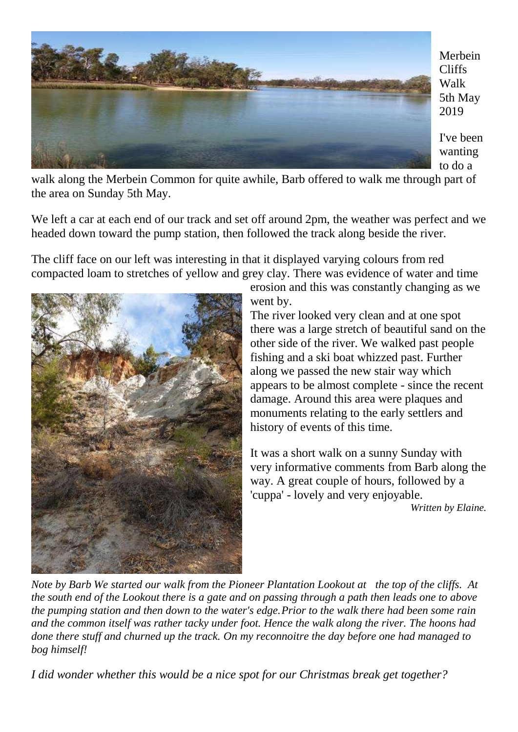

Merbein Cliffs Walk 5th May 2019

I've been wanting to do a

walk along the Merbein Common for quite awhile, Barb offered to walk me through part of the area on Sunday 5th May.

We left a car at each end of our track and set off around 2pm, the weather was perfect and we headed down toward the pump station, then followed the track along beside the river.

The cliff face on our left was interesting in that it displayed varying colours from red compacted loam to stretches of yellow and grey clay. There was evidence of water and time



erosion and this was constantly changing as we went by.

The river looked very clean and at one spot there was a large stretch of beautiful sand on the other side of the river. We walked past people fishing and a ski boat whizzed past. Further along we passed the new stair way which appears to be almost complete - since the recent damage. Around this area were plaques and monuments relating to the early settlers and history of events of this time.

It was a short walk on a sunny Sunday with very informative comments from Barb along the way. A great couple of hours, followed by a 'cuppa' - lovely and very enjoyable.

*Written by Elaine.*

*Note by Barb We started our walk from the Pioneer Plantation Lookout at the top of the cliffs. At the south end of the Lookout there is a gate and on passing through a path then leads one to above the pumping station and then down to the water's edge.Prior to the walk there had been some rain and the common itself was rather tacky under foot. Hence the walk along the river. The hoons had done there stuff and churned up the track. On my reconnoitre the day before one had managed to bog himself!*

*I did wonder whether this would be a nice spot for our Christmas break get together?*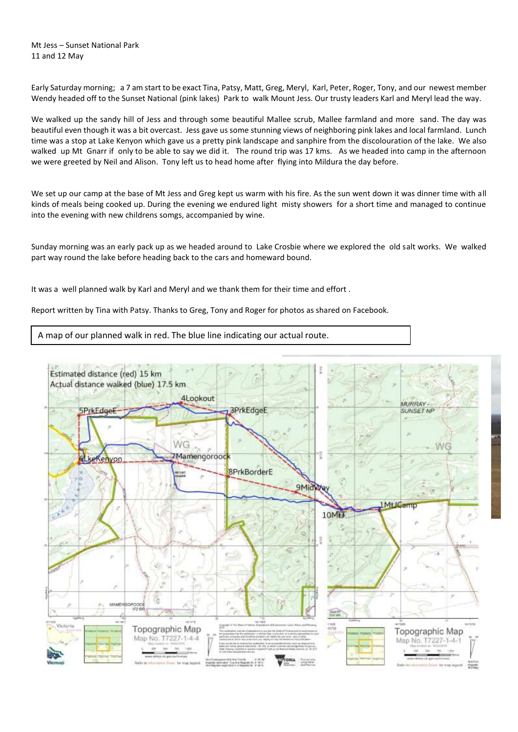Mt Jess – Sunset National Park 11 and 12 May

Early Saturday morning; a 7 am start to be exact Tina, Patsy, Matt, Greg, Meryl, Karl, Peter, Roger, Tony, and our newest member Wendy headed off to the Sunset National (pink lakes) Park to walk Mount Jess. Our trusty leaders Karl and Meryl lead the way.

We walked up the sandy hill of Jess and through some beautiful Mallee scrub, Mallee farmland and more sand. The day was beautiful even though it was a bit overcast. Jess gave us some stunning views of neighboring pink lakes and local farmland. Lunch time was a stop at Lake Kenyon which gave us a pretty pink landscape and sanphire from the discolouration of the lake. We also walked up Mt Gnarr if only to be able to say we did it. The round trip was 17 kms. As we headed into camp in the afternoon we were greeted by Neil and Alison. Tony left us to head home after flying into Mildura the day before.

We set up our camp at the base of Mt Jess and Greg kept us warm with his fire. As the sun went down it was dinner time with all kinds of meals being cooked up. During the evening we endured light misty showers for a short time and managed to continue into the evening with new childrens somgs, accompanied by wine.

Sunday morning was an early pack up as we headed around to Lake Crosbie where we explored the old salt works. We walked part way round the lake before heading back to the cars and homeward bound.

It was a well planned walk by Karl and Meryl and we thank them for their time and effort .

Report written by Tina with Patsy. Thanks to Greg, Tony and Roger for photos as shared on Facebook.

A map of our planned walk in red. The blue line indicating our actual route.

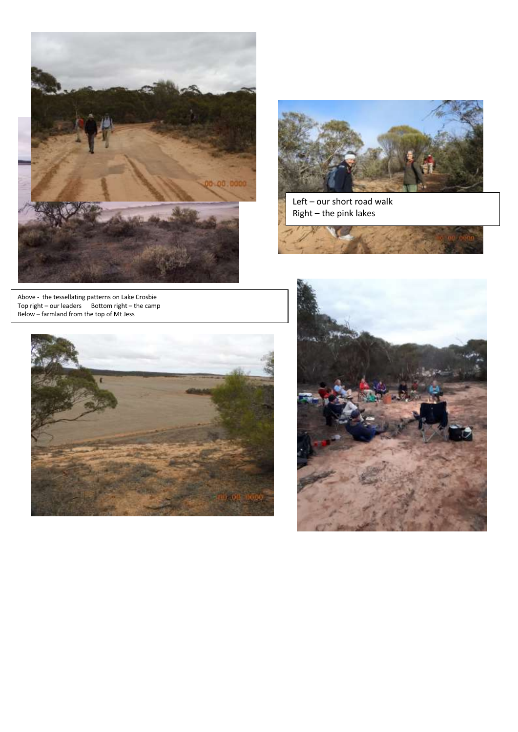



Left – our short road walk Right – the pink lakes

Above - the tessellating patterns on Lake Crosbie Top right – our leaders Bottom right – the camp Below – farmland from the top of Mt Jess



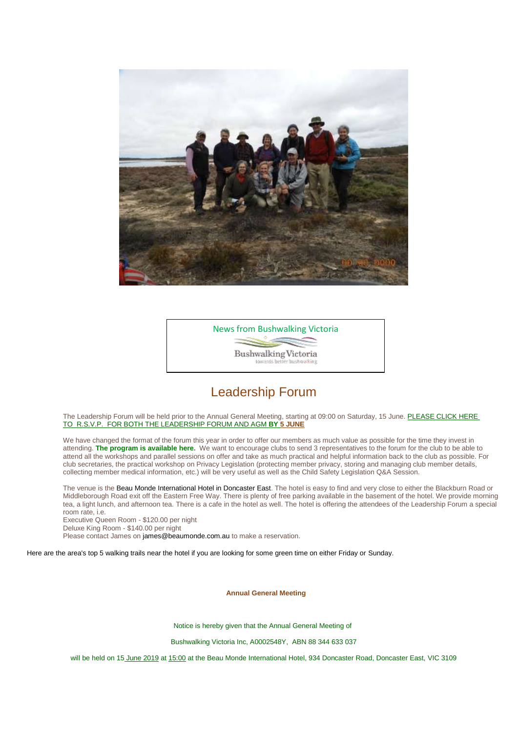



#### Leadership Forum

The Leadership Forum will be held prior to the Annual General Meeting, starting at 09:00 on Saturday, 15 June. PLEASE CLICK HERE TO [R.S.V.P. FOR BOTH THE LEADERSHIP FORUM AND AGM](https://bushwalkingvictoria.us12.list-manage.com/track/click?u=8596d8954f431422c507583cf&id=e47cdda33b&e=7873c6201a) **BY 5 JUNE**

We have changed the format of the forum this year in order to offer our members as much value as possible for the time they invest in attending. **[The program is available here.](https://bushwalkingvictoria.us12.list-manage.com/track/click?u=8596d8954f431422c507583cf&id=8c900a1e28&e=7873c6201a)** We want to encourage clubs to send 3 representatives to the forum for the club to be able to attend all the workshops and parallel sessions on offer and take as much practical and helpful information back to the club as possible. For club secretaries, the practical workshop on Privacy Legislation (protecting member privacy, storing and managing club member details, collecting member medical information, etc.) will be very useful as well as the Child Safety Legislation Q&A Session.

The venue is the [Beau Monde International Hotel in Doncaster East.](https://bushwalkingvictoria.us12.list-manage.com/track/click?u=8596d8954f431422c507583cf&id=b17762c41e&e=7873c6201a) The hotel is easy to find and very close to either the Blackburn Road or Middleborough Road exit off the Eastern Free Way. There is plenty of free parking available in the basement of the hotel. We provide morning tea, a light lunch, and afternoon tea. There is a cafe in the hotel as well. The hotel is offering the attendees of the Leadership Forum a special room rate, i.e.

Executive Queen Room - \$120.00 per night

Deluxe King Room - \$140.00 per night

Please contact James on [james@beaumonde.com.au](mailto:james@beaumonde.com.au?subject=Booking%20for%2014%20June%202019&body=Hi%20James%2C%0A%0AI%20will%20be%20attending%20the%20Bushwalking%20Victoria%20event%20on%2015%20June%20and%20wish%20to%20reserve%20a%20room%20for%20Friday%20evening.%20We%20have%20been%20offered%20a%20special%20rate%20of%20%24120%20for%20an%20Executive%20Queen%20Room%20and%20%24140%20for%20a%20Deluxe%20King%20Room.%0A%0AI%20would%20like%20to%20book%20a%20) to make a reservation.

[Here are the area's top 5 walking trails near the hotel if you are looking for some green time on either Friday or](https://bushwalkingvictoria.us12.list-manage.com/track/click?u=8596d8954f431422c507583cf&id=55d65e1eb8&e=7873c6201a) Sunday.

**Annual General Meeting**

Notice is hereby given that the Annual General Meeting of

Bushwalking Victoria Inc, A0002548Y, ABN 88 344 633 037

will be held on 15 June 2019 at 15:00 at the Beau Monde International Hotel, 934 Doncaster Road, Doncaster East, VIC 3109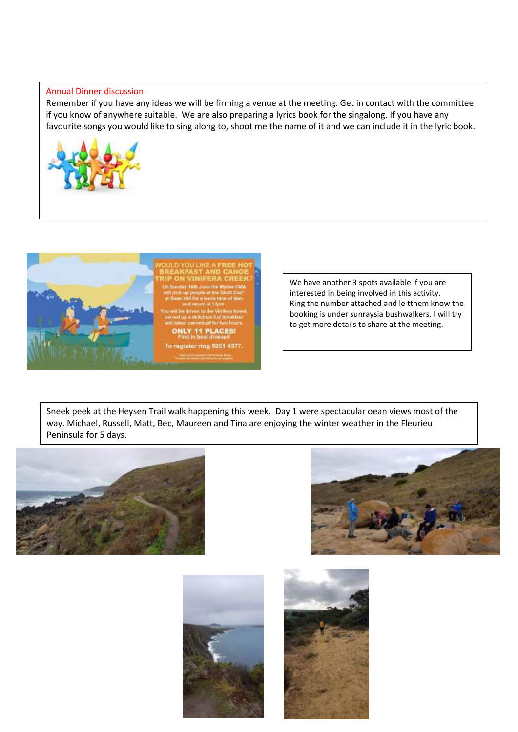#### Annual Dinner discussion

Remember if you have any ideas we will be firming a venue at the meeting. Get in contact with the committee if you know of anywhere suitable. We are also preparing a lyrics book for the singalong. If you have any favourite songs you would like to sing along to, shoot me the name of it and we can include it in the lyric book.





We have another 3 spots available if you are interested in being involved in this activity. Ring the number attached and le tthem know the booking is under sunraysia bushwalkers. I will try to get more details to share at the meeting.

Sneek peek at the Heysen Trail walk happening this week. Day 1 were spectacular oean views most of the way. Michael, Russell, Matt, Bec, Maureen and Tina are enjoying the winter weather in the Fleurieu Peninsula for 5 days.







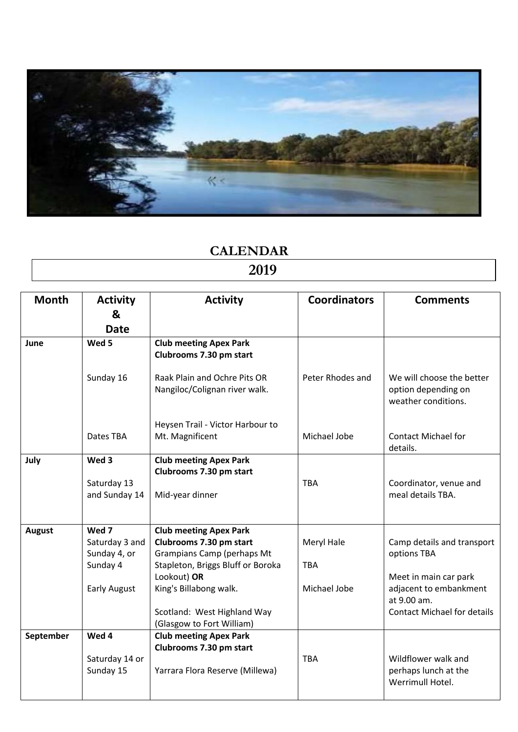

# **CALENDAR**

# **2019**

| <b>Month</b>  | <b>Activity</b>                       | <b>Activity</b>                                                             | <b>Coordinators</b> | <b>Comments</b>                                                         |
|---------------|---------------------------------------|-----------------------------------------------------------------------------|---------------------|-------------------------------------------------------------------------|
|               | &                                     |                                                                             |                     |                                                                         |
|               | <b>Date</b>                           |                                                                             |                     |                                                                         |
| June          | Wed 5                                 | <b>Club meeting Apex Park</b><br>Clubrooms 7.30 pm start                    |                     |                                                                         |
|               | Sunday 16                             | Raak Plain and Ochre Pits OR<br>Nangiloc/Colignan river walk.               | Peter Rhodes and    | We will choose the better<br>option depending on<br>weather conditions. |
|               | Dates TBA                             | Heysen Trail - Victor Harbour to<br>Mt. Magnificent                         | Michael Jobe        | <b>Contact Michael for</b><br>details.                                  |
| July          | Wed 3<br>Saturday 13<br>and Sunday 14 | <b>Club meeting Apex Park</b><br>Clubrooms 7.30 pm start<br>Mid-year dinner | <b>TBA</b>          | Coordinator, venue and<br>meal details TBA.                             |
| <b>August</b> | Wed 7<br>Saturday 3 and               | <b>Club meeting Apex Park</b><br>Clubrooms 7.30 pm start                    | Meryl Hale          | Camp details and transport                                              |
|               | Sunday 4, or<br>Sunday 4              | Grampians Camp (perhaps Mt<br>Stapleton, Briggs Bluff or Boroka             | <b>TBA</b>          | options TBA                                                             |
|               | <b>Early August</b>                   | Lookout) OR<br>King's Billabong walk.                                       | Michael Jobe        | Meet in main car park<br>adjacent to embankment<br>at 9.00 am.          |
|               |                                       | Scotland: West Highland Way<br>(Glasgow to Fort William)                    |                     | <b>Contact Michael for details</b>                                      |
| September     | Wed 4                                 | <b>Club meeting Apex Park</b>                                               |                     |                                                                         |
|               | Saturday 14 or<br>Sunday 15           | Clubrooms 7.30 pm start<br>Yarrara Flora Reserve (Millewa)                  | <b>TBA</b>          | Wildflower walk and<br>perhaps lunch at the<br>Werrimull Hotel.         |